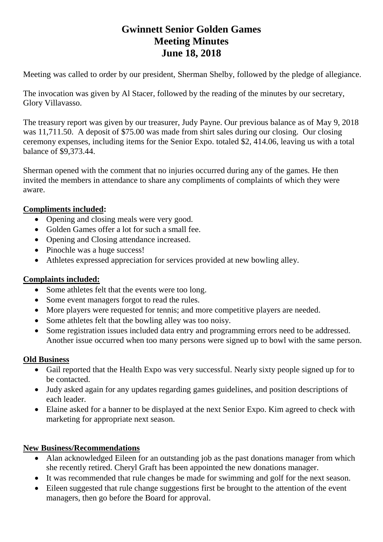# **Gwinnett Senior Golden Games Meeting Minutes June 18, 2018**

Meeting was called to order by our president, Sherman Shelby, followed by the pledge of allegiance.

The invocation was given by Al Stacer, followed by the reading of the minutes by our secretary, Glory Villavasso.

The treasury report was given by our treasurer, Judy Payne. Our previous balance as of May 9, 2018 was 11,711.50. A deposit of \$75.00 was made from shirt sales during our closing. Our closing ceremony expenses, including items for the Senior Expo. totaled \$2, 414.06, leaving us with a total balance of \$9,373.44.

Sherman opened with the comment that no injuries occurred during any of the games. He then invited the members in attendance to share any compliments of complaints of which they were aware.

## **Compliments included:**

- Opening and closing meals were very good.
- Golden Games offer a lot for such a small fee.
- Opening and Closing attendance increased.
- Pinochle was a huge success!
- Athletes expressed appreciation for services provided at new bowling alley.

#### **Complaints included:**

- Some athletes felt that the events were too long.
- Some event managers forgot to read the rules.
- More players were requested for tennis; and more competitive players are needed.
- Some athletes felt that the bowling alley was too noisy.
- Some registration issues included data entry and programming errors need to be addressed. Another issue occurred when too many persons were signed up to bowl with the same person.

#### **Old Business**

- Gail reported that the Health Expo was very successful. Nearly sixty people signed up for to be contacted.
- Judy asked again for any updates regarding games guidelines, and position descriptions of each leader.
- Elaine asked for a banner to be displayed at the next Senior Expo. Kim agreed to check with marketing for appropriate next season.

## **New Business/Recommendations**

- Alan acknowledged Eileen for an outstanding job as the past donations manager from which she recently retired. Cheryl Graft has been appointed the new donations manager.
- It was recommended that rule changes be made for swimming and golf for the next season.
- Eileen suggested that rule change suggestions first be brought to the attention of the event managers, then go before the Board for approval.